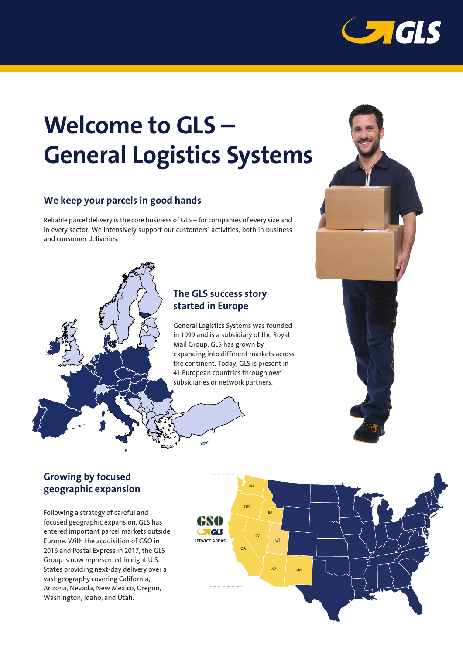

# **Welcome to GLS-General Logistics Systems**

## We keep your parcels in good hands

Reliable parcel delivery is the core business of GLS – for companies of every size and in every sector. We intensively support our customers' activities, both in business and consumer deliveries.

#### The GLS success story started in Europe

General Logistics Systems was founded in 1999 and is a subsidiary of the Royal Mail Group. GLS has grown by expanding into different markets across the continent. Today, GLS is present in 41 European countries through own subsidiaries or network partners.



#### **Growing by focused** geographic expansion

Following a strategy of careful and focused geographic expansion, GLS has entered important parcel markets outside Europe. With the acquisition of GSO in 2016 and Postal Express in 2017, the GLS Group is now represented in eight U.S. States providing next-day delivery over a vast geography covering California, Arizona, Nevada, New Mexico, Oregon, Washington, Idaho, and Utah.